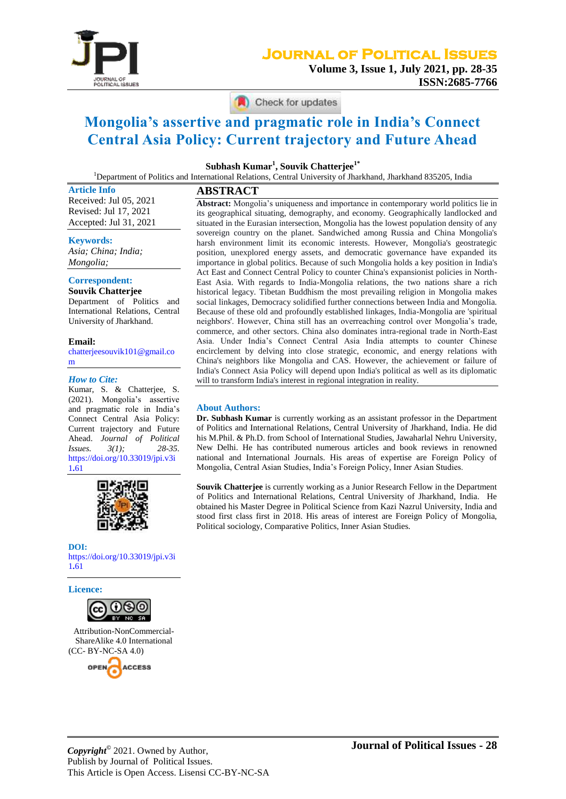

# **Journal of Political Issues**

**Volume 3, Issue 1, July 2021, pp. 28-35 ISSN:2685-7766**

Check for updates

# **Mongolia's assertive and pragmatic role in India's Connect Central Asia Policy: Current trajectory and Future Ahead**

**Subhash Kumar<sup>1</sup> , Souvik Chatterjee1\***

<sup>1</sup>Department of Politics and International Relations, Central University of Jharkhand, Jharkhand 835205, India

**Article Info** Received: Jul 05, 2021 Revised: Jul 17, 2021 Accepted: Jul 31, 2021

**Keywords:**

*Asia; China; India; Mongolia;*

# **Correspondent:**

**Souvik Chatterjee** Department of Politics and International Relations, Central University of Jharkhand.

**Email:**  [chatterjeesouvik101@gmail.co](file:///D:/KOMANG/Bahan%20Kuliah/UBB/Jurnal/JPI/Volume%203/Nomor%201/Souvik%20Chatterjee/FIX/chatterjeesouvik101@gmail.com) [m](file:///D:/KOMANG/Bahan%20Kuliah/UBB/Jurnal/JPI/Volume%203/Nomor%201/Souvik%20Chatterjee/FIX/chatterjeesouvik101@gmail.com)

#### *How to Cite:*

Kumar, S. & Chatterjee, S. (2021). Mongolia's assertive and pragmatic role in India's Connect Central Asia Policy: Current trajectory and Future Ahead. *Journal of Political Issues. 3(1); 28-35.* [https://doi.org/10.33019/jpi.v3i](https://doi.org/10.33019/jpi.v3i1.61) 1**.**[61](https://doi.org/10.33019/jpi.v3i1.61)



**DOI:** [https://doi.org/10.33019/jpi.v3i](https://doi.org/10.33019/jpi.v3i1.61) 1**.**[61](https://doi.org/10.33019/jpi.v3i1.61)

**Licence:**



Attribution-NonCommercial-ShareAlike 4.0 International (CC- BY-NC-SA 4.0)



**ABSTRACT**

**Abstract:** Mongolia's uniqueness and importance in contemporary world politics lie in its geographical situating, demography, and economy. Geographically landlocked and situated in the Eurasian intersection, Mongolia has the lowest population density of any sovereign country on the planet. Sandwiched among Russia and China Mongolia's harsh environment limit its economic interests. However, Mongolia's geostrategic position, unexplored energy assets, and democratic governance have expanded its importance in global politics. Because of such Mongolia holds a key position in India's Act East and Connect Central Policy to counter China's expansionist policies in North-East Asia. With regards to India-Mongolia relations, the two nations share a rich historical legacy. Tibetan Buddhism the most prevailing religion in Mongolia makes social linkages, Democracy solidified further connections between India and Mongolia. Because of these old and profoundly established linkages, India-Mongolia are 'spiritual neighbors'. However, China still has an overreaching control over Mongolia's trade, commerce, and other sectors. China also dominates intra-regional trade in North-East Asia. Under India's Connect Central Asia India attempts to counter Chinese encirclement by delving into close strategic, economic, and energy relations with China's neighbors like Mongolia and CAS. However, the achievement or failure of India's Connect Asia Policy will depend upon India's political as well as its diplomatic will to transform India's interest in regional integration in reality.

#### **About Authors:**

**Dr. Subhash Kumar** is currently working as an assistant professor in the Department of Politics and International Relations, Central University of Jharkhand, India. He did his M.Phil. & Ph.D. from School of International Studies, Jawaharlal Nehru University, New Delhi. He has contributed numerous articles and book reviews in renowned national and International Journals. His areas of expertise are Foreign Policy of Mongolia, Central Asian Studies, India's Foreign Policy, Inner Asian Studies.

**Souvik Chatterjee** is currently working as a Junior Research Fellow in the Department of Politics and International Relations, Central University of Jharkhand, India. He obtained his Master Degree in Political Science from Kazi Nazrul University, India and stood first class first in 2018. His areas of interest are Foreign Policy of Mongolia, Political sociology, Comparative Politics, Inner Asian Studies.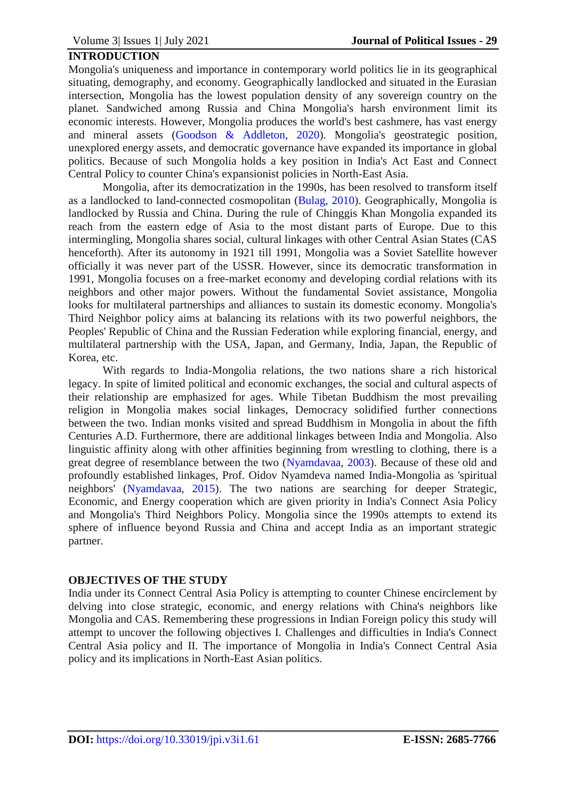# **INTRODUCTION**

Mongolia's uniqueness and importance in contemporary world politics lie in its geographical situating, demography, and economy. Geographically landlocked and situated in the Eurasian intersection, Mongolia has the lowest population density of any sovereign country on the planet. Sandwiched among Russia and China Mongolia's harsh environment limit its economic interests. However, Mongolia produces the world's best cashmere, has vast energy and mineral assets (Goodson & [Addleton, 2020\)](#page-6-0). Mongolia's geostrategic position, unexplored energy assets, and democratic governance have expanded its importance in global politics. Because of such Mongolia holds a key position in India's Act East and Connect Central Policy to counter China's expansionist policies in North-East Asia.

Mongolia, after its democratization in the 1990s, has been resolved to transform itself as a landlocked to land-connected cosmopolitan [\(Bulag, 2010\)](#page-6-1). Geographically, Mongolia is landlocked by Russia and China. During the rule of Chinggis Khan Mongolia expanded its reach from the eastern edge of Asia to the most distant parts of Europe. Due to this intermingling, Mongolia shares social, cultural linkages with other Central Asian States (CAS henceforth). After its autonomy in 1921 till 1991, Mongolia was a Soviet Satellite however officially it was never part of the USSR. However, since its democratic transformation in 1991, Mongolia focuses on a free-market economy and developing cordial relations with its neighbors and other major powers. Without the fundamental Soviet assistance, Mongolia looks for multilateral partnerships and alliances to sustain its domestic economy. Mongolia's Third Neighbor policy aims at balancing its relations with its two powerful neighbors, the Peoples' Republic of China and the Russian Federation while exploring financial, energy, and multilateral partnership with the USA, Japan, and Germany, India, Japan, the Republic of Korea, etc.

With regards to India-Mongolia relations, the two nations share a rich historical legacy. In spite of limited political and economic exchanges, the social and cultural aspects of their relationship are emphasized for ages. While Tibetan Buddhism the most prevailing religion in Mongolia makes social linkages, Democracy solidified further connections between the two. Indian monks visited and spread Buddhism in Mongolia in about the fifth Centuries A.D. Furthermore, there are additional linkages between India and Mongolia. Also linguistic affinity along with other affinities beginning from wrestling to clothing, there is a great degree of resemblance between the two [\(Nyamdavaa, 2003\)](#page-7-0). Because of these old and profoundly established linkages, Prof. Oidov Nyamdeva named India-Mongolia as 'spiritual neighbors' [\(Nyamdavaa, 2015\)](#page-7-1). The two nations are searching for deeper Strategic, Economic, and Energy cooperation which are given priority in India's Connect Asia Policy and Mongolia's Third Neighbors Policy. Mongolia since the 1990s attempts to extend its sphere of influence beyond Russia and China and accept India as an important strategic partner.

# **OBJECTIVES OF THE STUDY**

India under its Connect Central Asia Policy is attempting to counter Chinese encirclement by delving into close strategic, economic, and energy relations with China's neighbors like Mongolia and CAS. Remembering these progressions in Indian Foreign policy this study will attempt to uncover the following objectives I. Challenges and difficulties in India's Connect Central Asia policy and II. The importance of Mongolia in India's Connect Central Asia policy and its implications in North-East Asian politics.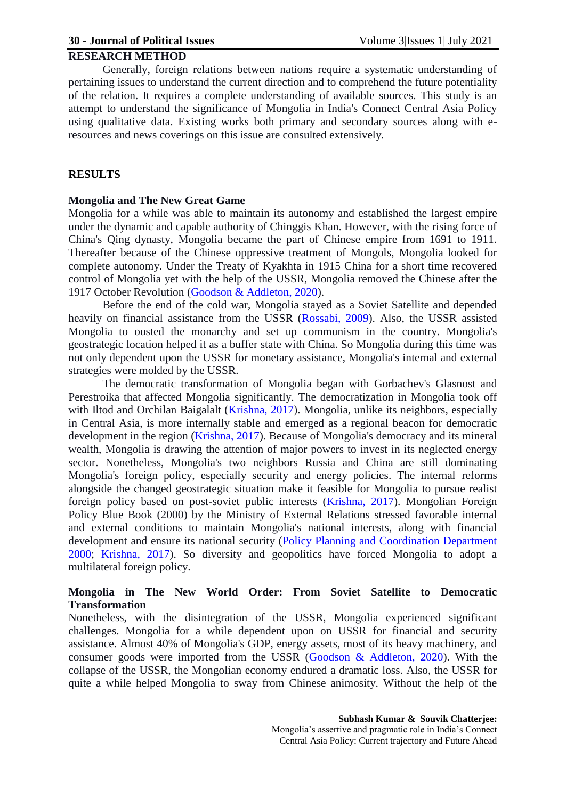#### **RESEARCH METHOD**

Generally, foreign relations between nations require a systematic understanding of pertaining issues to understand the current direction and to comprehend the future potentiality of the relation. It requires a complete understanding of available sources. This study is an attempt to understand the significance of Mongolia in India's Connect Central Asia Policy using qualitative data. Existing works both primary and secondary sources along with eresources and news coverings on this issue are consulted extensively.

# **RESULTS**

#### **Mongolia and The New Great Game**

Mongolia for a while was able to maintain its autonomy and established the largest empire under the dynamic and capable authority of Chinggis Khan. However, with the rising force of China's Qing dynasty, Mongolia became the part of Chinese empire from 1691 to 1911. Thereafter because of the Chinese oppressive treatment of Mongols, Mongolia looked for complete autonomy. Under the Treaty of Kyakhta in 1915 China for a short time recovered control of Mongolia yet with the help of the USSR, Mongolia removed the Chinese after the 1917 October Revolution (Goodson & [Addleton, 2020\)](#page-6-0).

Before the end of the cold war, Mongolia stayed as a Soviet Satellite and depended heavily on financial assistance from the USSR [\(Rossabi, 2009\)](#page-7-2). Also, the USSR assisted Mongolia to ousted the monarchy and set up communism in the country. Mongolia's geostrategic location helped it as a buffer state with China. So Mongolia during this time was not only dependent upon the USSR for monetary assistance, Mongolia's internal and external strategies were molded by the USSR.

The democratic transformation of Mongolia began with Gorbachev's Glasnost and Perestroika that affected Mongolia significantly. The democratization in Mongolia took off with Iltod and Orchilan Baigalalt [\(Krishna, 2017\)](#page-6-2). Mongolia, unlike its neighbors, especially in Central Asia, is more internally stable and emerged as a regional beacon for democratic development in the region [\(Krishna, 2017\)](#page-6-2). Because of Mongolia's democracy and its mineral wealth, Mongolia is drawing the attention of major powers to invest in its neglected energy sector. Nonetheless, Mongolia's two neighbors Russia and China are still dominating Mongolia's foreign policy, especially security and energy policies. The internal reforms alongside the changed geostrategic situation make it feasible for Mongolia to pursue realist foreign policy based on post-soviet public interests [\(Krishna, 2017\)](#page-6-2). Mongolian Foreign Policy Blue Book (2000) by the Ministry of External Relations stressed favorable internal and external conditions to maintain Mongolia's national interests, along with financial development and ensure its national security [\(Policy Planning and Coordination Department](#page-7-3)  [2000;](#page-7-3) [Krishna, 2017\)](#page-6-2). So diversity and geopolitics have forced Mongolia to adopt a multilateral foreign policy.

# **Mongolia in The New World Order: From Soviet Satellite to Democratic Transformation**

Nonetheless, with the disintegration of the USSR, Mongolia experienced significant challenges. Mongolia for a while dependent upon on USSR for financial and security assistance. Almost 40% of Mongolia's GDP, energy assets, most of its heavy machinery, and consumer goods were imported from the USSR (Goodson & [Addleton, 2020\)](#page-6-0). With the collapse of the USSR, the Mongolian economy endured a dramatic loss. Also, the USSR for quite a while helped Mongolia to sway from Chinese animosity. Without the help of the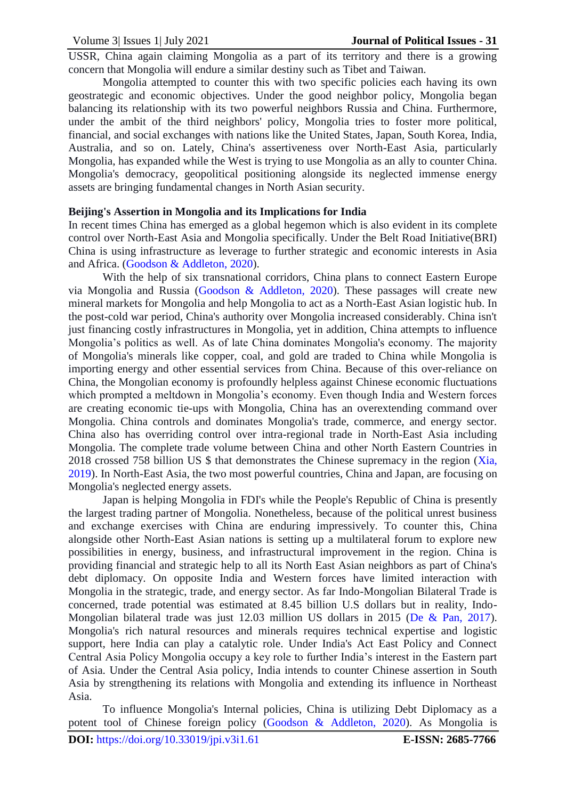USSR, China again claiming Mongolia as a part of its territory and there is a growing concern that Mongolia will endure a similar destiny such as Tibet and Taiwan.

Mongolia attempted to counter this with two specific policies each having its own geostrategic and economic objectives. Under the good neighbor policy, Mongolia began balancing its relationship with its two powerful neighbors Russia and China. Furthermore, under the ambit of the third neighbors' policy, Mongolia tries to foster more political, financial, and social exchanges with nations like the United States, Japan, South Korea, India, Australia, and so on. Lately, China's assertiveness over North-East Asia, particularly Mongolia, has expanded while the West is trying to use Mongolia as an ally to counter China. Mongolia's democracy, geopolitical positioning alongside its neglected immense energy assets are bringing fundamental changes in North Asian security.

#### **Beijing's Assertion in Mongolia and its Implications for India**

In recent times China has emerged as a global hegemon which is also evident in its complete control over North-East Asia and Mongolia specifically. Under the Belt Road Initiative(BRI) China is using infrastructure as leverage to further strategic and economic interests in Asia and Africa. (Goodson & [Addleton, 2020\)](#page-6-0).

With the help of six transnational corridors, China plans to connect Eastern Europe via Mongolia and Russia (Goodson & [Addleton, 2020\)](#page-6-0). These passages will create new mineral markets for Mongolia and help Mongolia to act as a North-East Asian logistic hub. In the post-cold war period, China's authority over Mongolia increased considerably. China isn't just financing costly infrastructures in Mongolia, yet in addition. China attempts to influence Mongolia's politics as well. As of late China dominates Mongolia's economy. The majority of Mongolia's minerals like copper, coal, and gold are traded to China while Mongolia is importing energy and other essential services from China. Because of this over-reliance on China, the Mongolian economy is profoundly helpless against Chinese economic fluctuations which prompted a meltdown in Mongolia's economy. Even though India and Western forces are creating economic tie-ups with Mongolia, China has an overextending command over Mongolia. China controls and dominates Mongolia's trade, commerce, and energy sector. China also has overriding control over intra-regional trade in North-East Asia including Mongolia. The complete trade volume between China and other North Eastern Countries in 2018 crossed 758 billion US \$ that demonstrates the Chinese supremacy in the region [\(Xia,](#page-7-4)  [2019\)](#page-7-4). In North-East Asia, the two most powerful countries, China and Japan, are focusing on Mongolia's neglected energy assets.

Japan is helping Mongolia in FDI's while the People's Republic of China is presently the largest trading partner of Mongolia. Nonetheless, because of the political unrest business and exchange exercises with China are enduring impressively. To counter this, China alongside other North-East Asian nations is setting up a multilateral forum to explore new possibilities in energy, business, and infrastructural improvement in the region. China is providing financial and strategic help to all its North East Asian neighbors as part of China's debt diplomacy. On opposite India and Western forces have limited interaction with Mongolia in the strategic, trade, and energy sector. As far Indo-Mongolian Bilateral Trade is concerned, trade potential was estimated at 8.45 billion U.S dollars but in reality, Indo-Mongolian bilateral trade was just 12.03 million US dollars in 2015 (De & [Pan, 2017\)](#page-6-3). Mongolia's rich natural resources and minerals requires technical expertise and logistic support, here India can play a catalytic role. Under India's Act East Policy and Connect Central Asia Policy Mongolia occupy a key role to further India's interest in the Eastern part of Asia. Under the Central Asia policy, India intends to counter Chinese assertion in South Asia by strengthening its relations with Mongolia and extending its influence in Northeast Asia.

To influence Mongolia's Internal policies, China is utilizing Debt Diplomacy as a potent tool of Chinese foreign policy (Goodson & [Addleton, 2020\)](#page-6-0). As Mongolia is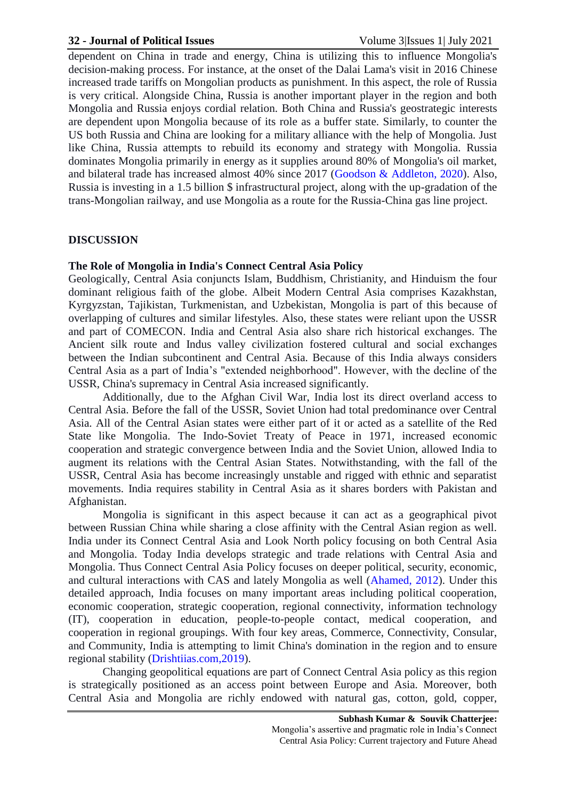#### **32 - Journal of Political Issues** Volume 3|Issues 1| July 2021

dependent on China in trade and energy, China is utilizing this to influence Mongolia's decision-making process. For instance, at the onset of the Dalai Lama's visit in 2016 Chinese increased trade tariffs on Mongolian products as punishment. In this aspect, the role of Russia is very critical. Alongside China, Russia is another important player in the region and both Mongolia and Russia enjoys cordial relation. Both China and Russia's geostrategic interests are dependent upon Mongolia because of its role as a buffer state. Similarly, to counter the US both Russia and China are looking for a military alliance with the help of Mongolia. Just like China, Russia attempts to rebuild its economy and strategy with Mongolia. Russia dominates Mongolia primarily in energy as it supplies around 80% of Mongolia's oil market, and bilateral trade has increased almost 40% since 2017 (Goodson & [Addleton, 2020\)](#page-6-0). Also, Russia is investing in a 1.5 billion \$ infrastructural project, along with the up-gradation of the trans-Mongolian railway, and use Mongolia as a route for the Russia-China gas line project.

# **DISCUSSION**

#### **The Role of Mongolia in India's Connect Central Asia Policy**

Geologically, Central Asia conjuncts Islam, Buddhism, Christianity, and Hinduism the four dominant religious faith of the globe. Albeit Modern Central Asia comprises Kazakhstan, Kyrgyzstan, Tajikistan, Turkmenistan, and Uzbekistan, Mongolia is part of this because of overlapping of cultures and similar lifestyles. Also, these states were reliant upon the USSR and part of COMECON. India and Central Asia also share rich historical exchanges. The Ancient silk route and Indus valley civilization fostered cultural and social exchanges between the Indian subcontinent and Central Asia. Because of this India always considers Central Asia as a part of India's "extended neighborhood". However, with the decline of the USSR, China's supremacy in Central Asia increased significantly.

Additionally, due to the Afghan Civil War, India lost its direct overland access to Central Asia. Before the fall of the USSR, Soviet Union had total predominance over Central Asia. All of the Central Asian states were either part of it or acted as a satellite of the Red State like Mongolia. The Indo-Soviet Treaty of Peace in 1971, increased economic cooperation and strategic convergence between India and the Soviet Union, allowed India to augment its relations with the Central Asian States. Notwithstanding, with the fall of the USSR, Central Asia has become increasingly unstable and rigged with ethnic and separatist movements. India requires stability in Central Asia as it shares borders with Pakistan and Afghanistan.

Mongolia is significant in this aspect because it can act as a geographical pivot between Russian China while sharing a close affinity with the Central Asian region as well. India under its Connect Central Asia and Look North policy focusing on both Central Asia and Mongolia. Today India develops strategic and trade relations with Central Asia and Mongolia. Thus Connect Central Asia Policy focuses on deeper political, security, economic, and cultural interactions with CAS and lately Mongolia as well [\(Ahamed, 2012\)](#page-6-4). Under this detailed approach, India focuses on many important areas including political cooperation, economic cooperation, strategic cooperation, regional connectivity, information technology (IT), cooperation in education, people-to-people contact, medical cooperation, and cooperation in regional groupings. With four key areas, Commerce, Connectivity, Consular, and Community, India is attempting to limit China's domination in the region and to ensure regional stability [\(Drishtiias.com,2019\)](#page-6-5).

Changing geopolitical equations are part of Connect Central Asia policy as this region is strategically positioned as an access point between Europe and Asia. Moreover, both Central Asia and Mongolia are richly endowed with natural gas, cotton, gold, copper,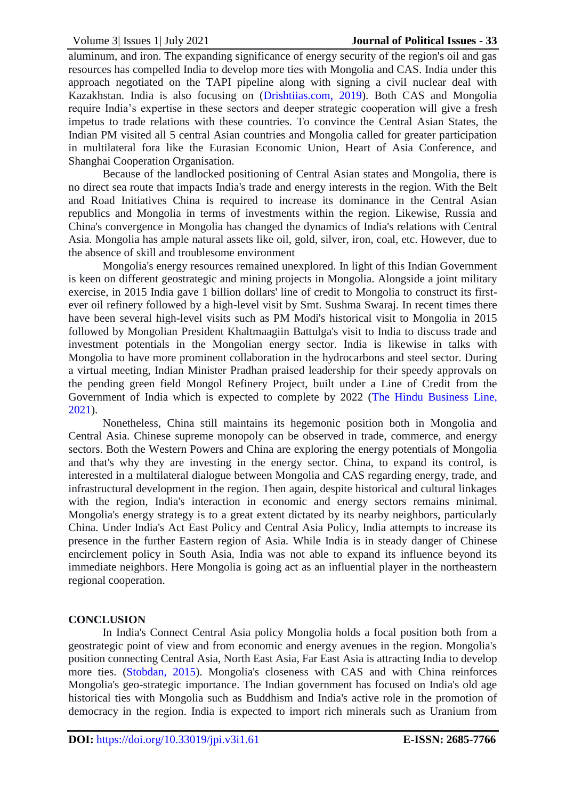aluminum, and iron. The expanding significance of energy security of the region's oil and gas resources has compelled India to develop more ties with Mongolia and CAS. India under this approach negotiated on the TAPI pipeline along with signing a civil nuclear deal with Kazakhstan. India is also focusing on [\(Drishtiias.com, 2019\)](#page-6-5). Both CAS and Mongolia require India's expertise in these sectors and deeper strategic cooperation will give a fresh impetus to trade relations with these countries. To convince the Central Asian States, the Indian PM visited all 5 central Asian countries and Mongolia called for greater participation in multilateral fora like the Eurasian Economic Union, Heart of Asia Conference, and Shanghai Cooperation Organisation.

Because of the landlocked positioning of Central Asian states and Mongolia, there is no direct sea route that impacts India's trade and energy interests in the region. With the Belt and Road Initiatives China is required to increase its dominance in the Central Asian republics and Mongolia in terms of investments within the region. Likewise, Russia and China's convergence in Mongolia has changed the dynamics of India's relations with Central Asia. Mongolia has ample natural assets like oil, gold, silver, iron, coal, etc. However, due to the absence of skill and troublesome environment

Mongolia's energy resources remained unexplored. In light of this Indian Government is keen on different geostrategic and mining projects in Mongolia. Alongside a joint military exercise, in 2015 India gave 1 billion dollars' line of credit to Mongolia to construct its firstever oil refinery followed by a high-level visit by Smt. Sushma Swaraj. In recent times there have been several high-level visits such as PM Modi's historical visit to Mongolia in 2015 followed by Mongolian President Khaltmaagiin Battulga's visit to India to discuss trade and investment potentials in the Mongolian energy sector. India is likewise in talks with Mongolia to have more prominent collaboration in the hydrocarbons and steel sector. During a virtual meeting, Indian Minister Pradhan praised leadership for their speedy approvals on the pending green field Mongol Refinery Project, built under a Line of Credit from the Government of India which is expected to complete by 2022 [\(The Hindu Business Line,](#page-7-5)  [2021\)](#page-7-5).

Nonetheless, China still maintains its hegemonic position both in Mongolia and Central Asia. Chinese supreme monopoly can be observed in trade, commerce, and energy sectors. Both the Western Powers and China are exploring the energy potentials of Mongolia and that's why they are investing in the energy sector. China, to expand its control, is interested in a multilateral dialogue between Mongolia and CAS regarding energy, trade, and infrastructural development in the region. Then again, despite historical and cultural linkages with the region, India's interaction in economic and energy sectors remains minimal. Mongolia's energy strategy is to a great extent dictated by its nearby neighbors, particularly China. Under India's Act East Policy and Central Asia Policy, India attempts to increase its presence in the further Eastern region of Asia. While India is in steady danger of Chinese encirclement policy in South Asia, India was not able to expand its influence beyond its immediate neighbors. Here Mongolia is going act as an influential player in the northeastern regional cooperation.

# **CONCLUSION**

In India's Connect Central Asia policy Mongolia holds a focal position both from a geostrategic point of view and from economic and energy avenues in the region. Mongolia's position connecting Central Asia, North East Asia, Far East Asia is attracting India to develop more ties. [\(Stobdan, 2015\)](#page-7-6). Mongolia's closeness with CAS and with China reinforces Mongolia's geo-strategic importance. The Indian government has focused on India's old age historical ties with Mongolia such as Buddhism and India's active role in the promotion of democracy in the region. India is expected to import rich minerals such as Uranium from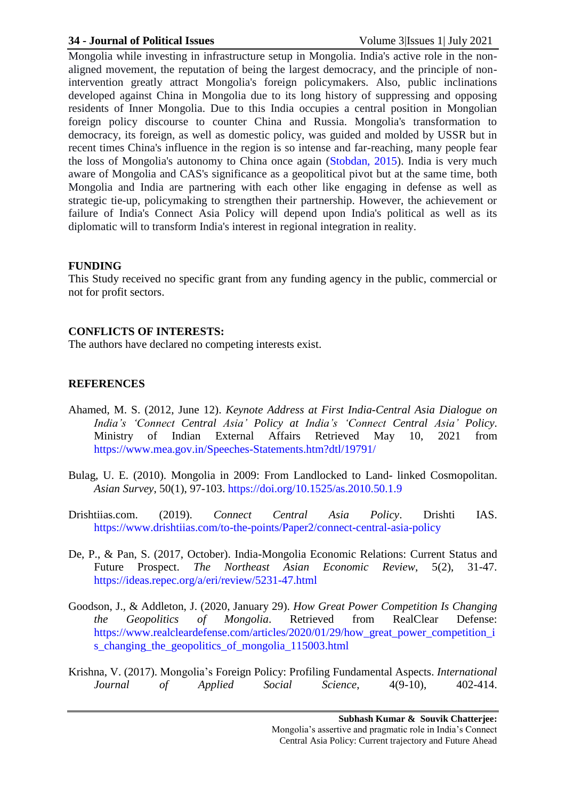#### **34 - Journal of Political Issues** Volume 3|Issues 1| July 2021

Mongolia while investing in infrastructure setup in Mongolia. India's active role in the nonaligned movement, the reputation of being the largest democracy, and the principle of nonintervention greatly attract Mongolia's foreign policymakers. Also, public inclinations developed against China in Mongolia due to its long history of suppressing and opposing residents of Inner Mongolia. Due to this India occupies a central position in Mongolian foreign policy discourse to counter China and Russia. Mongolia's transformation to democracy, its foreign, as well as domestic policy, was guided and molded by USSR but in recent times China's influence in the region is so intense and far-reaching, many people fear the loss of Mongolia's autonomy to China once again [\(Stobdan, 2015\)](#page-7-6). India is very much aware of Mongolia and CAS's significance as a geopolitical pivot but at the same time, both Mongolia and India are partnering with each other like engaging in defense as well as strategic tie-up, policymaking to strengthen their partnership. However, the achievement or failure of India's Connect Asia Policy will depend upon India's political as well as its diplomatic will to transform India's interest in regional integration in reality.

# **FUNDING**

This Study received no specific grant from any funding agency in the public, commercial or not for profit sectors.

#### **CONFLICTS OF INTERESTS:**

The authors have declared no competing interests exist.

# **REFERENCES**

- <span id="page-6-4"></span>Ahamed, M. S. (2012, June 12). *Keynote Address at First India-Central Asia Dialogue on India's 'Connect Central Asia' Policy at India's 'Connect Central Asia' Policy*. Ministry of Indian External Affairs Retrieved May 10, 2021 from <https://www.mea.gov.in/Speeches-Statements.htm?dtl/19791/>
- <span id="page-6-1"></span>Bulag, U. E. (2010). Mongolia in 2009: From Landlocked to Land- linked Cosmopolitan. *Asian Survey*, 50(1), 97-103. <https://doi.org/10.1525/as.2010.50.1.9>
- <span id="page-6-5"></span>Drishtiias.com. (2019). *Connect Central Asia Policy*. Drishti IAS. <https://www.drishtiias.com/to-the-points/Paper2/connect-central-asia-policy>
- <span id="page-6-3"></span>De, P., & Pan, S. (2017, October). India-Mongolia Economic Relations: Current Status and Future Prospect. *The Northeast Asian Economic Review*, 5(2), 31-47. <https://ideas.repec.org/a/eri/review/5231-47.html>
- <span id="page-6-0"></span>Goodson, J., & Addleton, J. (2020, January 29). *How Great Power Competition Is Changing the Geopolitics of Mongolia*. Retrieved from RealClear Defense: [https://www.realcleardefense.com/articles/2020/01/29/how\\_great\\_power\\_competition\\_i](https://www.realcleardefense.com/articles/2020/01/29/how_great_power_competition_is_changing_the_geopolitics_of_mongolia_115003.html) [s\\_changing\\_the\\_geopolitics\\_of\\_mongolia\\_115003.html](https://www.realcleardefense.com/articles/2020/01/29/how_great_power_competition_is_changing_the_geopolitics_of_mongolia_115003.html)
- <span id="page-6-2"></span>Krishna, V. (2017). Mongolia's Foreign Policy: Profiling Fundamental Aspects. *International Journal of Applied Social Science*, 4(9-10), 402-414.